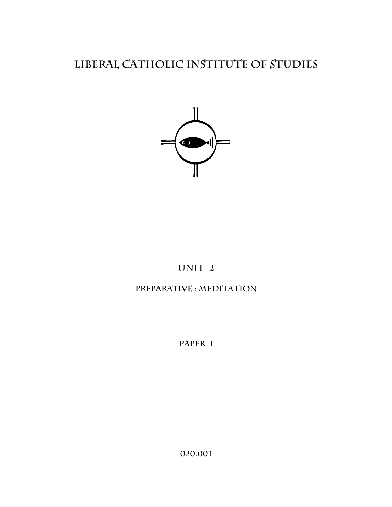# LIBERAL CATHOLIC INSTITUTE OF STUDIES



# UNIT<sub>2</sub>

# PREPARATIVE : MEDITATION

PAPER 1

020.001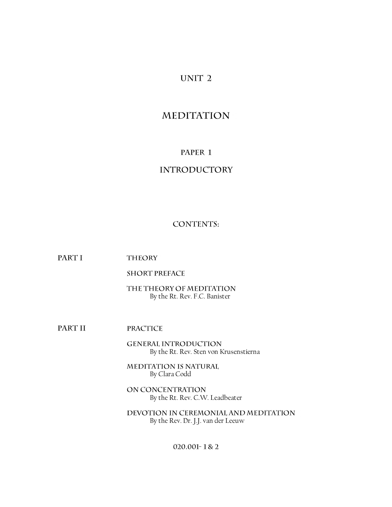# UNIT<sub>2</sub>

# **MEDITATION**

# PAPER 1

# **INTRODUCTORY**

## **CONTENTS:**

PART I **THEORY** 

**SHORT PREFACE** 

THE THEORY OF MEDITATION By the Rt. Rev. F.C. Banister

PART II **PRACTICE** 

> **GENERAL INTRODUCTION** By the Rt. Rev. Sten von Krusenstierna

MEDITATION IS NATURAL By Clara Codd

ON CONCENTRATION By the Rt. Rev. C.W. Leadbeater

DEVOTION IN CEREMONIAL AND MEDITATION By the Rev. Dr. J.J. van der Leeuw

020.001-1&2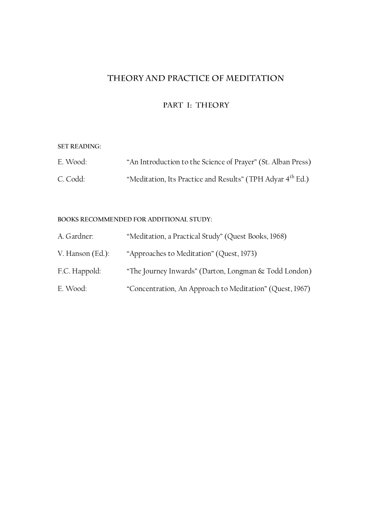# THEORY AND PRACTICE OF MEDITATION

# PART I: THEORY

#### **SET READING:**

| E. Wood: | "An Introduction to the Science of Prayer" (St. Alban Press)           |
|----------|------------------------------------------------------------------------|
| C. Codd: | "Meditation, Its Practice and Results" (TPH Adyar 4 <sup>th</sup> Ed.) |

## **BOOKS RECOMMENDED FOR ADDITIONAL STUDY:**

| A. Gardner:      | "Meditation, a Practical Study" (Quest Books, 1968)      |
|------------------|----------------------------------------------------------|
| V. Hanson (Ed.): | "Approaches to Meditation" (Quest, 1973)                 |
| F.C. Happold:    | "The Journey Inwards" (Darton, Longman & Todd London)    |
| E. Wood:         | "Concentration, An Approach to Meditation" (Quest, 1967) |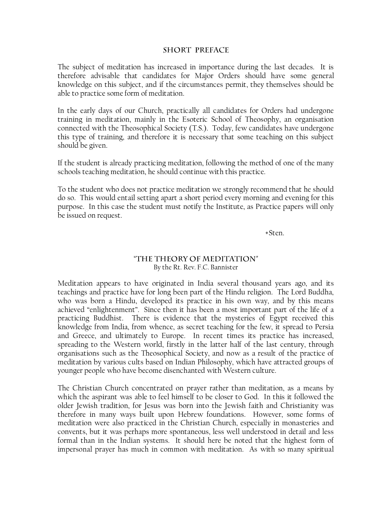#### **SHORT PREFACE**

The subject of meditation has increased in importance during the last decades. It is therefore advisable that candidates for Major Orders should have some general knowledge on this subject, and if the circumstances permit, they themselves should be able to practice some form of meditation.

In the early days of our Church, practically all candidates for Orders had undergone training in meditation, mainly in the Esoteric School of Theosophy, an organisation connected with the Theosophical Society (T.S.). Today, few candidates have undergone this type of training, and therefore it is necessary that some teaching on this subject should be given.

If the student is already practicing meditation, following the method of one of the many schools teaching meditation, he should continue with this practice.

To the student who does not practice meditation we strongly recommend that he should do so. This would entail setting apart a short period every morning and evening for this purpose. In this case the student must notify the Institute, as Practice papers will only be issued on request.

+Sten.

## "THE THEORY OF MEDITATION" By the Rt. Rev. F.C. Bannister

Meditation appears to have originated in India several thousand years ago, and its teachings and practice have for long been part of the Hindu religion. The Lord Buddha, who was born a Hindu, developed its practice in his own way, and by this means achieved "enlightenment". Since then it has been a most important part of the life of a practicing Buddhist. There is evidence that the mysteries of Egypt received this knowledge from India, from whence, as secret teaching for the few, it spread to Persia and Greece, and ultimately to Europe. In recent times its practice has increased, spreading to the Western world, firstly in the latter half of the last century, through organisations such as the Theosophical Society, and now as a result of the practice of meditation by various cults based on Indian Philosophy, which have attracted groups of younger people who have become disenchanted with Western culture.

The Christian Church concentrated on prayer rather than meditation, as a means by which the aspirant was able to feel himself to be closer to God. In this it followed the older Jewish tradition, for Jesus was born into the Jewish faith and Christianity was therefore in many ways built upon Hebrew foundations. However, some forms of meditation were also practiced in the Christian Church, especially in monasteries and convents, but it was perhaps more spontaneous, less well understood in detail and less formal than in the Indian systems. It should here be noted that the highest form of impersonal prayer has much in common with meditation. As with so many spiritual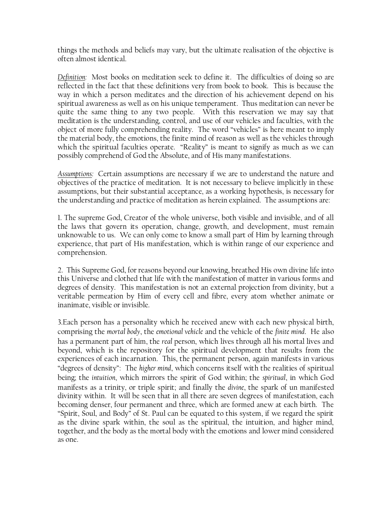things the methods and beliefs may vary, but the ultimate realisation of the objective is often almost identical.

*Definition:* Most books on meditation seek to define it. The difficulties of doing so are reflected in the fact that these definitions very from book to book. This is because the way in which a person meditates and the direction of his achievement depend on his spiritual awareness as well as on his unique temperament. Thus meditation can never be quite the same thing to any two people. With this reservation we may say that meditation is the understanding, control, and use of our vehicles and faculties, with the object of more fully comprehending reality. The word "vehicles" is here meant to imply the material body, the emotions, the finite mind of reason as well as the vehicles through which the spiritual faculties operate. "Reality" is meant to signify as much as we can possibly comprehend of God the Absolute, and of His many manifestations.

*Assumptions:* Certain assumptions are necessary if we are to understand the nature and objectives of the practice of meditation. It is not necessary to believe implicitly in these assumptions, but their substantial acceptance, as a working hypothesis, is necessary for the understanding and practice of meditation as herein explained. The assumptions are:

1. The supreme God, Creator of the whole universe, both visible and invisible, and of all the laws that govern its operation, change, growth, and development, must remain unknowable to us. We can only come to know a small part of Him by learning through experience, that part of His manifestation, which is within range of our experience and comprehension.

2. This Supreme God, for reasons beyond our knowing, breathed His own divine life into this Universe and clothed that life with the manifestation of matter in various forms and degrees of density. This manifestation is not an external projection from divinity, but a veritable permeation by Him of every cell and fibre, every atom whether animate or inanimate, visible or invisible.

3.Each person has a personality which he received anew with each new physical birth, comprising the *mortal body*, the *emotional vehicle* and the vehicle of the *finite mind*. He also has a permanent part of him, the *real* person, which lives through all his mortal lives and beyond, which is the repository for the spiritual development that results from the experiences of each incarnation. This, the permanent person, again manifests in various "degrees of density": The *higher mind*, which concerns itself with the realities of spiritual being; the *intuition*, which mirrors the spirit of God within; the *spiritual*, in which God manifests as a trinity, or triple spirit; and finally the *divine*, the spark of un manifested divinity within. It will be seen that in all there are seven degrees of manifestation, each becoming denser, four permanent and three, which are formed anew at each birth. The "Spirit, Soul, and Body" of St. Paul can be equated to this system, if we regard the spirit as the divine spark within, the soul as the spiritual, the intuition, and higher mind, together, and the body as the mortal body with the emotions and lower mind considered as one.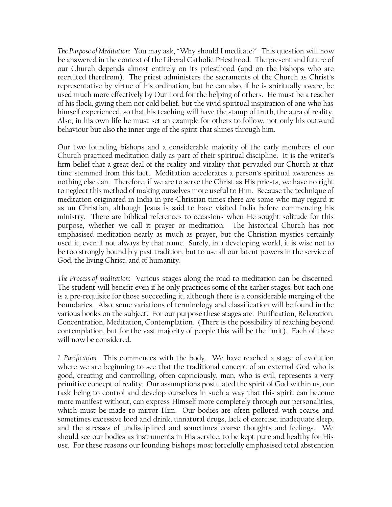*The Purpose of Meditation:* You may ask, "Why should I meditate?" This question will now be answered in the context of the Liberal Catholic Priesthood. The present and future of our Church depends almost entirely on its priesthood (and on the bishops who are recruited therefrom). The priest administers the sacraments of the Church as Christ's representative by virtue of his ordination, but he can also, if he is spiritually aware, be used much more effectively by Our Lord for the helping of others. He must be a teacher of his flock, giving them not cold belief, but the vivid spiritual inspiration of one who has himself experienced, so that his teaching will have the stamp of truth, the aura of reality. Also, in his own life he must set an example for others to follow, not only his outward behaviour but also the inner urge of the spirit that shines through him.

Our two founding bishops and a considerable majority of the early members of our Church practiced meditation daily as part of their spiritual discipline. It is the writer's firm belief that a great deal of the reality and vitality that pervaded our Church at that time stemmed from this fact. Meditation accelerates a person's spiritual awareness as nothing else can. Therefore, if we are to serve the Christ as His priests, we have no right to neglect this method of making ourselves more useful to Him. Because the technique of meditation originated in India in pre-Christian times there are some who may regard it as un Christian, although Jesus is said to have visited India before commencing his ministry. There are biblical references to occasions when He sought solitude for this purpose, whether we call it prayer or meditation. The historical Church has not emphasised meditation nearly as much as prayer, but the Christian mystics certainly used it, even if not always by that name. Surely, in a developing world, it is wise not to be too strongly bound b y past tradition, but to use all our latent powers in the service of God, the living Christ, and of humanity.

*The Process of meditation*: Various stages along the road to meditation can be discerned. The student will benefit even if he only practices some of the earlier stages, but each one is a pre-requisite for those succeeding it, although there is a considerable merging of the boundaries. Also, some variations of terminology and classification will be found in the various books on the subject. For our purpose these stages are: Purification, Relaxation, Concentration, Meditation, Contemplation. (There is the possibility of reaching beyond contemplation, but for the vast majority of people this will be the limit). Each of these will now be considered.

*1. Purification.* This commences with the body. We have reached a stage of evolution where we are beginning to see that the traditional concept of an external God who is good, creating and controlling, often capriciously, man, who is evil, represents a very primitive concept of reality. Our assumptions postulated the spirit of God within us, our task being to control and develop ourselves in such a way that this spirit can become more manifest without, can express Himself more completely through our personalities, which must be made to mirror Him. Our bodies are often polluted with coarse and sometimes excessive food and drink, unnatural drugs, lack of exercise, inadequate sleep, and the stresses of undisciplined and sometimes coarse thoughts and feelings. We should see our bodies as instruments in His service, to be kept pure and healthy for His use. For these reasons our founding bishops most forcefully emphasised total abstention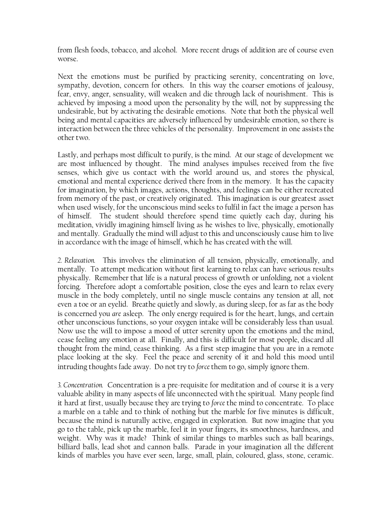from flesh foods, tobacco, and alcohol. More recent drugs of addition are of course even worse.

Next the emotions must be purified by practicing serenity, concentrating on love, sympathy, devotion, concern for others. In this way the coarser emotions of jealousy, fear, envy, anger, sensuality, will weaken and die through lack of nourishment. This is achieved by imposing a mood upon the personality by the will, not by suppressing the undesirable, but by activating the desirable emotions. Note that both the physical well being and mental capacities are adversely influenced by undesirable emotion, so there is interaction between the three vehicles of the personality. Improvement in one assists the other two.

Lastly, and perhaps most difficult to purify, is the mind. At our stage of development we are most influenced by thought. The mind analyses impulses received from the five senses, which give us contact with the world around us, and stores the physical, emotional and mental experience derived there from in the memory. It has the capacity for imagination, by which images, actions, thoughts, and feelings can be either recreated from memory of the past, or creatively originated. This imagination is our greatest asset when used wisely, for the unconscious mind seeks to fulfil in fact the image a person has of himself. The student should therefore spend time quietly each day, during his meditation, vividly imagining himself living as he wishes to live, physically, emotionally and mentally. Gradually the mind will adjust to this and unconsciously cause him to live in accordance with the image of himself, which he has created with the will.

*2. Relaxation.* This involves the elimination of all tension, physically, emotionally, and mentally. To attempt medication without first learning to relax can have serious results physically. Remember that life is a natural process of growth or unfolding, not a violent forcing. Therefore adopt a comfortable position, close the eyes and learn to relax every muscle in the body completely, until no single muscle contains any tension at all, not even a toe or an eyelid. Breathe quietly and slowly, as during sleep, for as far as the body is concerned you *are* asleep. The only energy required is for the heart, lungs, and certain other unconscious functions, so your oxygen intake will be considerably less than usual. Now use the will to impose a mood of utter serenity upon the emotions and the mind, cease feeling any emotion at all. Finally, and this is difficult for most people, discard all thought from the mind, cease thinking. As a first step imagine that you are in a remote place looking at the sky. Feel the peace and serenity of it and hold this mood until intruding thoughts fade away. Do not try to *force* them to go, simply ignore them.

*3. Concentration.* Concentration is a pre-requisite for meditation and of course it is a very valuable ability in many aspects of life unconnected with the spiritual. Many people find it hard at first, usually because they are trying to *force* the mind to concentrate. To place a marble on a table and to think of nothing but the marble for five minutes is difficult, because the mind is naturally active, engaged in exploration. But now imagine that you go to the table, pick up the marble, feel it in your fingers, its smoothness, hardness, and weight. Why was it made? Think of similar things to marbles such as ball bearings, billiard balls, lead shot and cannon balls. Parade in your imagination all the different kinds of marbles you have ever seen, large, small, plain, coloured, glass, stone, ceramic.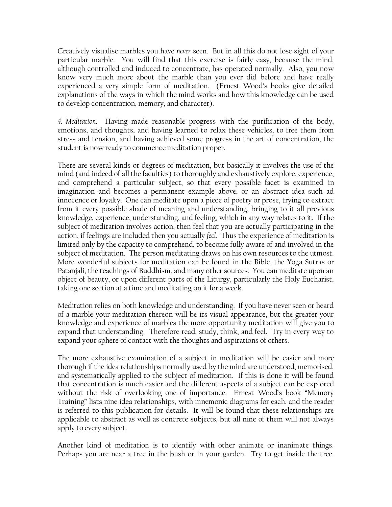Creatively visualise marbles you have *never* seen. But in all this do not lose sight of your particular marble. You will find that this exercise is fairly easy, because the mind, although controlled and induced to concentrate, has operated normally. Also, you now know very much more about the marble than you ever did before and have really experienced a very simple form of meditation. (Ernest Wood's books give detailed explanations of the ways in which the mind works and how this knowledge can be used to develop concentration, memory, and character).

*4. Meditation*. Having made reasonable progress with the purification of the body, emotions, and thoughts, and having learned to relax these vehicles, to free them from stress and tension, and having achieved some progress in the art of concentration, the student is now ready to commence meditation proper.

There are several kinds or degrees of meditation, but basically it involves the use of the mind (and indeed of all the faculties) to thoroughly and exhaustively explore, experience, and comprehend a particular subject, so that every possible facet is examined in imagination and becomes a permanent example above, or an abstract idea such ad innocence or loyalty. One can meditate upon a piece of poetry or prose, trying to extract from it every possible shade of meaning and understanding, bringing to it all previous knowledge, experience, understanding, and feeling, which in any way relates to it. If the subject of meditation involves action, then feel that you are actually participating in the action, if feelings are included then you actually *feel*. Thus the experience of meditation is limited only by the capacity to comprehend, to become fully aware of and involved in the subject of meditation. The person meditating draws on his own resources to the utmost. More wonderful subjects for meditation can be found in the Bible, the Yoga Sutras or Patanjali, the teachings of Buddhism, and many other sources. You can meditate upon an object of beauty, or upon different parts of the Liturgy, particularly the Holy Eucharist, taking one section at a time and meditating on it for a week.

Meditation relies on both knowledge and understanding. If you have never seen or heard of a marble your meditation thereon will be its visual appearance, but the greater your knowledge and experience of marbles the more opportunity meditation will give you to expand that understanding. Therefore read, study, think, and feel. Try in every way to expand your sphere of contact with the thoughts and aspirations of others.

The more exhaustive examination of a subject in meditation will be easier and more thorough if the idea relationships normally used by the mind are understood, memorised, and systematically applied to the subject of meditation. If this is done it will be found that concentration is much easier and the different aspects of a subject can be explored without the risk of overlooking one of importance. Ernest Wood's book "Memory Training" lists nine idea relationships, with mnemonic diagrams for each, and the reader is referred to this publication for details. It will be found that these relationships are applicable to abstract as well as concrete subjects, but all nine of them will not always apply to every subject.

Another kind of meditation is to identify with other animate or inanimate things. Perhaps you are near a tree in the bush or in your garden. Try to get inside the tree.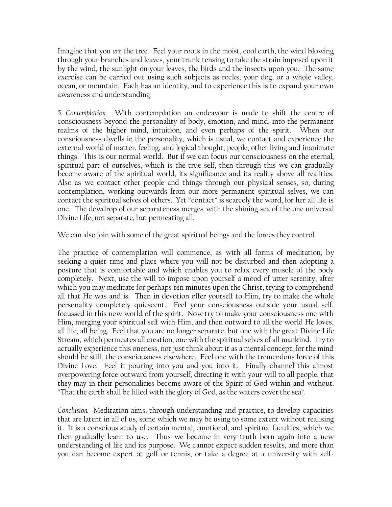Imagine that you *are* the tree. Feel your roots in the moist, cool earth, the wind blowing through your branches and leaves, your trunk tensing to take the strain imposed upon it by the wind, the sunlight on your leaves, the birds and the insects upon you. The same exercise can be carried out using such subjects as rocks, your dog, or a whole valley, ocean, or mountain. Each has an identity, and to experience this is to expand your own awareness and understanding.

*5. Contemplation.* With contemplation an endeavour is made to shift the centre of consciousness beyond the personality of body, emotion, and mind, into the permanent realms of the higher mind, intuition, and even perhaps of the spirit. When our consciousness dwells in the personality, which is usual, we contact and experience the external world of matter, feeling, and logical thought, people, other living and inanimate things. This is our normal world. But if we can focus our consciousness on the eternal, spiritual part of ourselves, which is the true self, then through this we can gradually become aware of the spiritual world, its significance and its reality above all realities. Also as we contact other people and things through our physical senses, so, during contemplation, working outwards from our more permanent spiritual selves, we can contact the spiritual selves of others. Yet "contact" is scarcely the word, for her all life is one. The dewdrop of our separateness merges with the shining sea of the one universal Divine Life, not separate, but permeating all.

We can also join with some of the great spiritual beings and the forces they control.

The practice of contemplation will commence, as with all forms of meditation, by seeking a quiet time and place where you will not be disturbed and then adopting a posture that is comfortable and which enables you to relax every muscle of the body completely. Next, use the will to impose upon yourself a mood of utter serenity, after which you may meditate for perhaps ten minutes upon the Christ, trying to comprehend all that He was and is. Then in devotion offer yourself to Him, try to make the whole personality completely quiescent. Feel your consciousness outside your usual self, focussed in this new world of the spirit. Now try to make your consciousness one with Him, merging your spiritual self with Him, and then outward to all the world He loves, all life, all being. Feel that you are no longer separate, but one with the great Divine Life Stream, which permeates all creation, one with the spiritual selves of all mankind. Try to actually experience this oneness, not just think about it as a mental concept, for the mind should be still, the consciousness elsewhere. Feel one with the tremendous force of this Divine Love. Feel it pouring into you and you into it. Finally channel this almost overpowering force outward from yourself, directing it with your will to all people, that they may in their personalities become aware of the Spirit of God within and without. "That the earth shall be filled with the glory of God, as the waters cover the sea".

*Conclusion.* Meditation aims, through understanding and practice, to develop capacities that are latent in all of us, some which we may be using to some extent without realising it. It is a conscious study of certain mental, emotional, and spiritual faculties, which we then gradually learn to use. Thus we become in very truth born again into a new understanding of life and its purpose. We cannot expect sudden results, and more than you can become expert at golf or tennis, or take a degree at a university with self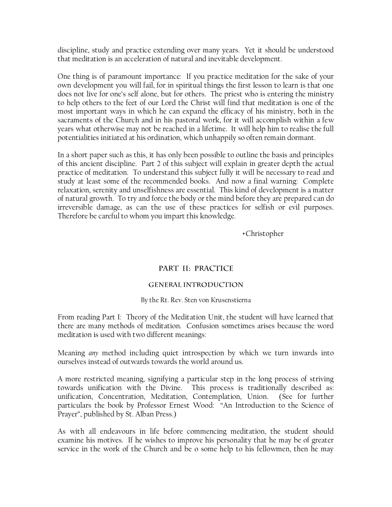discipline, study and practice extending over many years. Yet it should be understood that meditation is an acceleration of natural and inevitable development.

One thing is of paramount importance: If you practice meditation for the sake of your own development you will fail, for in spiritual things the first lesson to learn is that one does not live for one's self alone, but for others. The priest who is entering the ministry to help others to the feet of our Lord the Christ will find that meditation is one of the most important ways in which he can expand the efficacy of his ministry, both in the sacraments of the Church and in his pastoral work, for it will accomplish within a few years what otherwise may not be reached in a lifetime. It will help him to realise the full potentialities initiated at his ordination, which unhappily so often remain dormant.

In a short paper such as this, it has only been possible to outline the basis and principles of this ancient discipline. Part 2 of this subject will explain in greater depth the actual practice of meditation. To understand this subject fully it will be necessary to read and study at least some of the recommended books. And now a final warning: Complete relaxation, serenity and unselfishness are essential. This kind of development is a matter of natural growth. To try and force the body or the mind before they are prepared can do irreversible damage, as can the use of these practices for selfish or evil purposes. Therefore be careful to whom you impart this knowledge.

+Christopher

# PART II: PRACTICE

## **GENERAL INTRODUCTION**

## By the Rt. Rev. Sten von Krusenstierna

From reading Part I: Theory of the Meditation Unit, the student will have learned that there are many methods of meditation. Confusion sometimes arises because the word meditation is used with two different meanings:

Meaning *any* method including quiet introspection by which we turn inwards into ourselves instead of outwards towards the world around us.

A more restricted meaning, signifying a particular step in the long process of striving towards unification with the Divine. This process is traditionally described as: unification, Concentration, Meditation, Contemplation, Union. (See for further particulars the book by Professor Ernest Wood: "An Introduction to the Science of Prayer", published by St. Alban Press.)

As with all endeavours in life before commencing meditation, the student should examine his motives. If he wishes to improve his personality that he may be of greater service in the work of the Church and be o some help to his fellowmen, then he may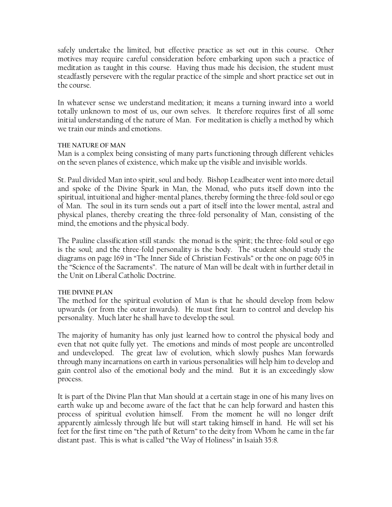safely undertake the limited, but effective practice as set out in this course. Other motives may require careful consideration before embarking upon such a practice of meditation as taught in this course. Having thus made his decision, the student must steadfastly persevere with the regular practice of the simple and short practice set out in the course.

In whatever sense we understand meditation; it means a turning inward into a world totally unknown to most of us, our own selves. It therefore requires first of all some initial understanding of the nature of Man. For meditation is chiefly a method by which we train our minds and emotions.

#### **THE NATURE OF MAN**

Man is a complex being consisting of many parts functioning through different vehicles on the seven planes of existence, which make up the visible and invisible worlds.

St. Paul divided Man into spirit, soul and body. Bishop Leadbeater went into more detail and spoke of the Divine Spark in Man, the Monad, who puts itself down into the spiritual, intuitional and higher-mental planes, thereby forming the three-fold soul or ego of Man. The soul in its turn sends out a part of itself into the lower mental, astral and physical planes, thereby creating the three-fold personality of Man, consisting of the mind, the emotions and the physical body.

The Pauline classification still stands: the monad is the spirit; the three-fold soul or ego is the soul; and the three-fold personality is the body. The student should study the diagrams on page 169 in "The Inner Side of Christian Festivals" or the one on page 605 in the "Science of the Sacraments". The nature of Man will be dealt with in further detail in the Unit on Liberal Catholic Doctrine.

## **THE DIVINE PLAN**

The method for the spiritual evolution of Man is that he should develop from below upwards (or from the outer inwards). He must first learn to control and develop his personality. Much later he shall have to develop the soul.

The majority of humanity has only just learned how to control the physical body and even that not quite fully yet. The emotions and minds of most people are uncontrolled and undeveloped. The great law of evolution, which slowly pushes Man forwards through many incarnations on earth in various personalities will help him to develop and gain control also of the emotional body and the mind. But it is an exceedingly slow process.

It is part of the Divine Plan that Man should at a certain stage in one of his many lives on earth wake up and become aware of the fact that he can help forward and hasten this process of spiritual evolution himself. From the moment he will no longer drift apparently aimlessly through life but will start taking himself in hand. He will set his feet for the first time on "the path of Return" to the deity from Whom he came in the far distant past. This is what is called "the Way of Holiness" in Isaiah 35:8.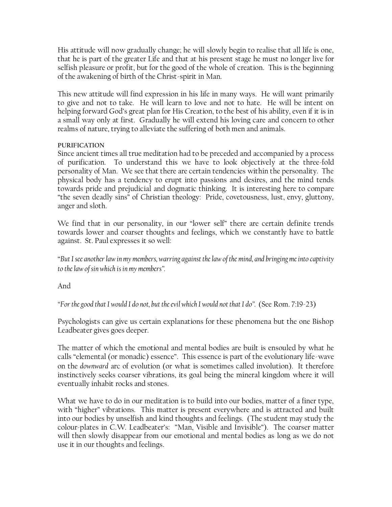His attitude will now gradually change; he will slowly begin to realise that all life is one, that he is part of the greater Life and that at his present stage he must no longer live for selfish pleasure or profit, but for the good of the whole of creation. This is the beginning of the awakening of birth of the Christ-spirit in Man.

This new attitude will find expression in his life in many ways. He will want primarily to give and not to take. He will learn to love and not to hate. He will be intent on helping forward God's great plan for His Creation, to the best of his ability, even if it is in a small way only at first. Gradually he will extend his loving care and concern to other realms of nature, trying to alleviate the suffering of both men and animals.

# **PURIFICATION**

Since ancient times all true meditation had to be preceded and accompanied by a process of purification. To understand this we have to look objectively at the three-fold personality of Man. We see that there are certain tendencies within the personality. The physical body has a tendency to erupt into passions and desires, and the mind tends towards pride and prejudicial and dogmatic thinking. It is interesting here to compare "the seven deadly sins" of Christian theology: Pride, covetousness, lust, envy, gluttony, anger and sloth.

We find that in our personality, in our "lower self" there are certain definite trends towards lower and coarser thoughts and feelings, which we constantly have to battle against. St. Paul expresses it so well:

"*But I see another law in my members, warring against the law of the mind, and bringing me into captivity to the law of sin which is in my members".*

And

*"For thegood that I would I do not, but the evil which I would not that I do".* (See Rom. 7:19-23)

Psychologists can give us certain explanations for these phenomena but the one Bishop Leadbeater gives goes deeper.

The matter of which the emotional and mental bodies are built is ensouled by what he calls "elemental (or monadic) essence". This essence is part of the evolutionary life-wave on the *downward* arc of evolution (or what is sometimes called involution). It therefore instinctively seeks coarser vibrations, its goal being the mineral kingdom where it will eventually inhabit rocks and stones.

What we have to do in our meditation is to build into our bodies, matter of a finer type, with "higher" vibrations. This matter is present everywhere and is attracted and built into our bodies by unselfish and kind thoughts and feelings. (The student may study the colour-plates in C.W. Leadbeater's: "Man, Visible and Invisible"). The coarser matter will then slowly disappear from our emotional and mental bodies as long as we do not use it in our thoughts and feelings.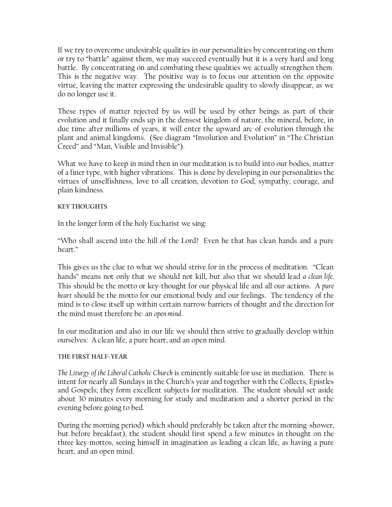If we try to overcome undesirable qualities in our personalities by concentrating on them or try to "battle" against them, we may succeed eventually but it is a very hard and long battle. By concentrating on and combating these qualities we actually strengthen them. This is the negative way. The positive way is to focus our attention on the opposite virtue, leaving the matter expressing the undesirable quality to slowly disappear, as we do no longer use it.

These types of matter rejected by us will be used by other beings as part of their evolution and it finally ends up in the densest kingdom of nature, the mineral, before, in due time after millions of years, it will enter the upward arc of evolution through the plant and animal kingdoms. (See diagram "Involution and Evolution" in "The Christian Creed" and "Man, Visible and Invisible").

What we have to keep in mind then in our meditation is to build into our bodies, matter of a finer type, with higher vibrations. This is done by developing in our personalities the virtues of unselfishness, love to all creation, devotion to God, sympathy, courage, and plain kindness.

# **KEY THOUGHTS**

In the longer form of the holy Eucharist we sing:

"Who shall ascend into the hill of the Lord? Even he that has clean hands and a pure heart."

This gives us the clue to what we should strive for in the process of meditation. "Clean hands" means not only that we should not kill, but also that we should lead *a clean life*. This should be the motto or key-thought for our physical life and all our actions. A *pure heart* should be the motto for our emotional body and our feelings. The tendency of the mind is to close itself up within certain narrow barriers of thought and the direction for the mind must therefore be: an *open mind*.

In our meditation and also in our life we should then strive to gradually develop within ourselves: A clean life, a pure heart, and an open mind.

## **THE FIRST HALF-YEAR**

*The Liturgy of the Liberal Catholic Church* is eminently suitable for use in mediation. There is intent for nearly all Sundays in the Church's year and together with the Collects, Epistles and Gospels; they form excellent subjects for meditation. The student should set aside about 30 minutes every morning for study and meditation and a shorter period in the evening before going to bed.

During the morning period) which should preferably be taken after the morning-shower, but before breakfast), the student should first spend a few minutes in thought on the three key-mottos, seeing himself in imagination as leading a clean life, as having a pure heart, and an open mind.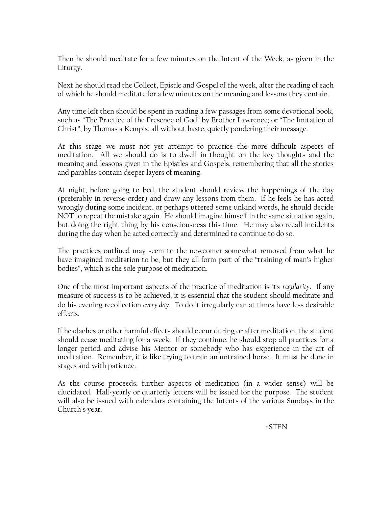Then he should meditate for a few minutes on the Intent of the Week, as given in the Liturgy.

Next he should read the Collect, Epistle and Gospel of the week, after the reading of each of which he should meditate for a few minutes on the meaning and lessons they contain.

Any time left then should be spent in reading a few passages from some devotional book, such as "The Practice of the Presence of God" by Brother Lawrence; or "The Imitation of Christ", by Thomas a Kempis, all without haste, quietly pondering their message.

At this stage we must not yet attempt to practice the more difficult aspects of meditation. All we should do is to dwell in thought on the key thoughts and the meaning and lessons given in the Epistles and Gospels, remembering that all the stories and parables contain deeper layers of meaning.

At night, before going to bed, the student should review the happenings of the day (preferably in reverse order) and draw any lessons from them. If he feels he has acted wrongly during some incident, or perhaps uttered some unkind words, he should decide NOT to repeat the mistake again. He should imagine himself in the same situation again, but doing the right thing by his consciousness this time. He may also recall incidents during the day when he acted correctly and determined to continue to do so.

The practices outlined may seem to the newcomer somewhat removed from what he have imagined meditation to be, but they all form part of the "training of man's higher bodies", which is the sole purpose of meditation.

One of the most important aspects of the practice of meditation is its *regularity*. If any measure of success is to be achieved, it is essential that the student should meditate and do his evening recollection *every day*. To do it irregularly can at times have less desirable effects.

If headaches or other harmful effects should occur during or after meditation, the student should cease meditating for a week. If they continue, he should stop all practices for a longer period and advise his Mentor or somebody who has experience in the art of meditation. Remember, it is like trying to train an untrained horse. It must be done in stages and with patience.

As the course proceeds, further aspects of meditation (in a wider sense) will be elucidated. Half-yearly or quarterly letters will be issued for the purpose. The student will also be issued with calendars containing the Intents of the various Sundays in the Church's year.

+STEN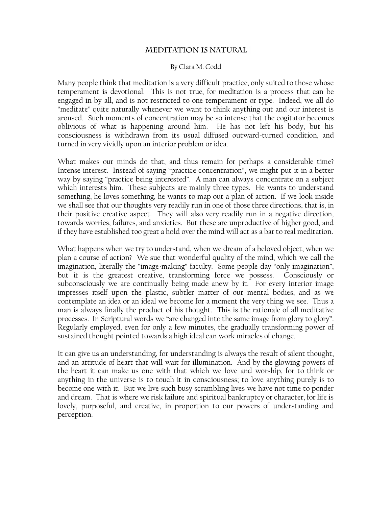## **MEDITATION IS NATURAL**

## By Clara M. Codd

Many people think that meditation is a very difficult practice, only suited to those whose temperament is devotional. This is not true, for meditation is a process that can be engaged in by all, and is not restricted to one temperament or type. Indeed, we all do "meditate" quite naturally whenever we want to think anything out and our interest is aroused. Such moments of concentration may be so intense that the cogitator becomes oblivious of what is happening around him. He has not left his body, but his consciousness is withdrawn from its usual diffused outward-turned condition, and turned in very vividly upon an interior problem or idea.

What makes our minds do that, and thus remain for perhaps a considerable time? Intense interest. Instead of saying "practice concentration", we might put it in a better way by saying "practice being interested". A man can always concentrate on a subject which interests him. These subjects are mainly three types. He wants to understand something, he loves something, he wants to map out a plan of action. If we look inside we shall see that our thoughts very readily run in one of those three directions, that is, in their positive creative aspect. They will also very readily run in a negative direction, towards worries, failures, and anxieties. But these are unproductive of higher good, and if they have established too great a hold over the mind will act as a bar to real meditation.

What happens when we try to understand, when we dream of a beloved object, when we plan a course of action? We sue that wonderful quality of the mind, which we call the imagination, literally the "image-making" faculty. Some people day "only imagination", but it is the greatest creative, transforming force we possess. Consciously or subconsciously we are continually being made anew by it. For every interior image impresses itself upon the plastic, subtler matter of our mental bodies, and as we contemplate an idea or an ideal we become for a moment the very thing we see. Thus a man is always finally the product of his thought. This is the rationale of all meditative processes. In Scriptural words we "are changed into the same image from glory to glory". Regularly employed, even for only a few minutes, the gradually transforming power of sustained thought pointed towards a high ideal can work miracles of change.

It can give us an understanding, for understanding is always the result of silent thought, and an attitude of heart that will wait for illumination. And by the glowing powers of the heart it can make us one with that which we love and worship, for to think or anything in the universe is to touch it in consciousness; to love anything purely is to become one with it. But we live such busy scrambling lives we have not time to ponder and dream. That is where we risk failure and spiritual bankruptcy or character, for life is lovely, purposeful, and creative, in proportion to our powers of understanding and perception.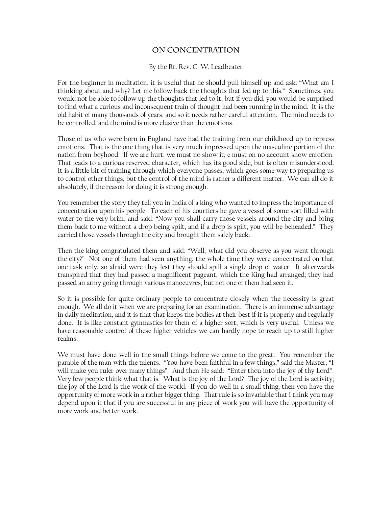# ON CONCENTRATION

#### By the Rt. Rev. C. W. Leadbeater

For the beginner in meditation, it is useful that he should pull himself up and ask: "What am I thinking about and why? Let me follow back the thoughts that led up to this." Sometimes, you would not be able to follow up the thoughts that led to it, but if you did, you would be surprised to find what a curious and inconsequent train of thought had been running in the mind. It is the old habit of many thousands of years, and so it needs rather careful attention. The mind needs to be controlled, and the mind is more elusive than the emotions.

Those of us who were born in England have had the training from our childhood up to repress emotions. That is the one thing that is very much impressed upon the masculine portion of the nation from boyhood. If we are hurt, we must no show it; e must on no account show emotion. That leads to a curious reserved character, which has its good side, but is often misunderstood. It is a little bit of training through which everyone passes, which goes some way to preparing us to control other things, but the control of the mind is rather a different matter. We can all do it absolutely, if the reason for doing it is strong enough.

You remember the story they tell you in India of a king who wanted to impress the importance of concentration upon his people. To each of his courtiers he gave a vessel of some sort filled with water to the very brim, and said: "Now you shall carry those vessels around the city and bring them back to me without a drop being spilt, and if a drop is spilt, you will be beheaded." They carried those vessels through the city and brought them safely back.

Then the king congratulated them and said: "Well, what did you observe as you went through the city?" Not one of them had seen anything; the whole time they were concentrated on that one task only, so afraid were they lest they should spill a single drop of water. It afterwards transpired that they had passed a magnificent pageant, which the King had arranged; they had passed an army going through various manoeuvres, but not one of them had seen it.

So it is possible for quite ordinary people to concentrate closely when the necessity is great enough. We all do it when we are preparing for an examination. There is an immense advantage in daily meditation, and it is that that keeps the bodies at their best if it is properly and regularly done. It is like constant gymnastics for them of a higher sort, which is very useful. Unless we have reasonable control of these higher vehicles we can hardly hope to reach up to still higher realms.

We must have done well in the small things before we come to the great. You remember the parable of the man with the talents. "You have been faithful in a few things," said the Master, "I will make you ruler over many things". And then He said: "Enter thou into the joy of thy Lord". Very few people think what that is. What is the joy of the Lord? The joy of the Lord is activity; the joy of the Lord is the work of the world. If you do well in a small thing, then you have the opportunity of more work in a rather bigger thing. That rule is so invariable that I think you may depend upon it that if you are successful in any piece of work you will have the opportunity of more work and better work.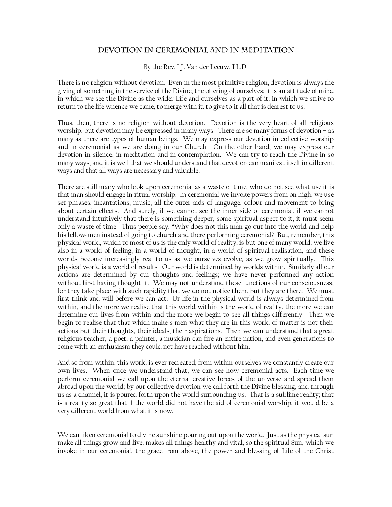# DEVOTION IN CEREMONIAL AND IN MEDITATION

By the Rev. I.J. Van der Leeuw, LL.D.

There is no religion without devotion. Even in the most primitive religion, devotion is always the giving of something in the service of the Divine, the offering of ourselves; it is an attitude of mind in which we see the Divine as the wider Life and ourselves as a part of it; in which we strive to return to the life whence we came, to merge with it, to give to it all that is dearest to us.

Thus, then, there is no religion without devotion. Devotion is the very heart of all religious worship, but devotion may be expressed in many ways. There are so many forms of devotion – as many as there are types of human beings. We may express our devotion in collective worship and in ceremonial as we are doing in our Church. On the other hand, we may express our devotion in silence, in meditation and in contemplation. We can try to reach the Divine in so many ways, and it is well that we should understand that devotion can manifest itself in different ways and that all ways are necessary and valuable.

There are still many who look upon ceremonial as a waste of time, who do not see what use it is that man should engage in ritual worship. In ceremonial we invoke powers from on high, we use set phrases, incantations, music, all the outer aids of language, colour and movement to bring about certain effects. And surely, if we cannot see the inner side of ceremonial, if we cannot understand intuitively that there is something deeper, some spiritual aspect to it, it must seem only a waste of time. Thus people say, "Why does not this man go out into the world and help his fellow-men instead of going to church and there performing ceremonial? But, remember, this physical world, which to most of us is the only world of reality, is but one of many world; we live also in a world of feeling, in a world of thought, in a world of spiritual realisation, and these worlds become increasingly real to us as we ourselves evolve, as we grow spiritually. This physical world is a world of results. Our world is determined by worlds within. Similarly all our actions are determined by our thoughts and feelings; we have never performed any action without first having thought it. We may not understand these functions of our consciousness, for they take place with such rapidity that we do not notice them, but they are there. We must first think and will before we can act. Ur life in the physical world is always determined from within, and the more we realise that this world within is the world of reality, the more we can determine our lives from within and the more we begin to see all things differently. Then we begin to realise that that which make s men what they are in this world of matter is not their actions but their thoughts, their ideals, their aspirations. Then we can understand that a great religious teacher, a poet, a painter, a musician can fire an entire nation, and even generations to come with an enthusiasm they could not have reached without him.

And so from within, this world is ever recreated; from within ourselves we constantly create our own lives. When once we understand that, we can see how ceremonial acts. Each time we perform ceremonial we call upon the eternal creative forces of the universe and spread them abroad upon the world; by our collective devotion we call forth the Divine blessing, and through us as a channel, it is poured forth upon the world surrounding us. That is a sublime reality; that is a reality so great that if the world did not have the aid of ceremonial worship, it would be a very different world from what it is now.

We can liken ceremonial to divine sunshine pouring out upon the world. Just as the physical sun make all things grow and live, makes all things healthy and vital, so the spiritual Sun, which we invoke in our ceremonial, the grace from above, the power and blessing of Life of the Christ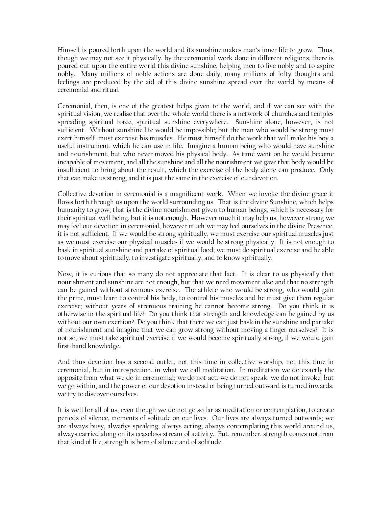Himself is poured forth upon the world and its sunshine makes man's inner life to grow. Thus, though we may not see it physically, by the ceremonial work done in different religions, there is poured out upon the entire world this divine sunshine, helping men to live nobly and to aspire nobly. Many millions of noble actions are done daily, many millions of lofty thoughts and feelings are produced by the aid of this divine sunshine spread over the world by means of ceremonial and ritual.

Ceremonial, then, is one of the greatest helps given to the world, and if we can see with the spiritual vision, we realise that over the whole world there is a network of churches and temples spreading spiritual force, spiritual sunshine everywhere. Sunshine alone, however, is not sufficient. Without sunshine life would be impossible; but the man who would be strong must exert himself, must exercise his muscles. He must himself do the work that will make his boy a useful instrument, which he can use in life. Imagine a human being who would have sunshine and nourishment, but who never moved his physical body. As time went on he would become incapable of movement, and all the sunshine and all the nourishment we gave that body would be insufficient to bring about the result, which the exercise of the body alone can produce. Only that can make us strong, and it is just the same in the exercise of our devotion.

Collective devotion in ceremonial is a magnificent work. When we invoke the divine grace it flows forth through us upon the world surrounding us. That is the divine Sunshine, which helps humanity to grow; that is the divine nourishment given to human beings, which is necessary for their spiritual well being, but it is not enough. However much it may help us, however strong we may feel our devotion in ceremonial, however much we may feel ourselves in the divine Presence, it is not sufficient. If we would be strong spiritually, we must exercise our spiritual muscles just as we must exercise our physical muscles if we would be strong physically. It is not enough to bask in spiritual sunshine and partake of spiritual food; we must do spiritual exercise and be able to move about spiritually, to investigate spiritually, and to know spiritually.

Now, it is curious that so many do not appreciate that fact. It is clear to us physically that nourishment and sunshine are not enough, but that we need movement also and that no strength can be gained without strenuous exercise. The athlete who would be strong, who would gain the prize, must learn to control his body, to control his muscles and he must give them regular exercise; without years of strenuous training he cannot become strong. Do you think it is otherwise in the spiritual life? Do you think that strength and knowledge can be gained by us without our own exertion? Do you think that there we can just bask in the sunshine and partake of nourishment and imagine that we can grow strong without moving a finger ourselves? It is not so; we must take spiritual exercise if we would become spiritually strong, if we would gain first-hand knowledge.

And thus devotion has a second outlet, not this time in collective worship, not this time in ceremonial, but in introspection, in what we call meditation. In meditation we do exactly the opposite from what we do in ceremonial; we do not act; we do not speak; we do not invoke; but we go within, and the power of our devotion instead of being turned outward is turned inwards; we try to discover ourselves.

It is well for all of us, even though we do not go so far as meditation or contemplation, to create periods of silence, moments of solitude on our lives. Our lives are always turned outwards; we are always busy, alwa6ys speaking, always acting, always contemplating this world around us, always carried along on its ceaseless stream of activity. But, remember, strength comes not from that kind of life; strength is born of silence and of solitude.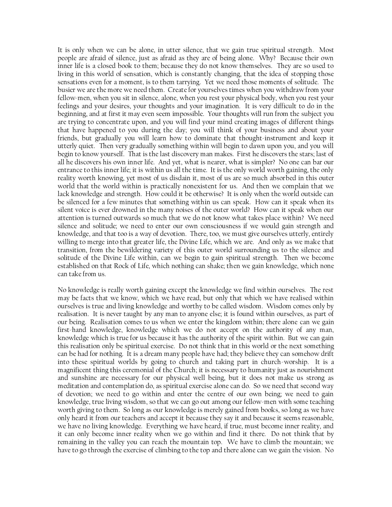It is only when we can be alone, in utter silence, that we gain true spiritual strength. Most people are afraid of silence, just as afraid as they are of being alone. Why? Because their own inner life is a closed book to them; because they do not know themselves. They are so used to living in this world of sensation, which is constantly changing, that the idea of stopping those sensations even for a moment, is to them tarrying. Yet we need those moments of solitude. The busier we are the more we need them. Create for yourselves times when you withdraw from your fellow-men, when you sit in silence, alone, when you rest your physical body, when you rest your feelings and your desires, your thoughts and your imagination. It is very difficult to do in the beginning, and at first it may even seem impossible. Your thoughts will run from the subject you are trying to concentrate upon, and you will find your mind creating images of different things that have happened to you during the day; you will think of your business and about your friends, but gradually you will learn how to dominate that thought-instrument and keep it utterly quiet. Then very gradually something within will begin to dawn upon you, and you will begin to know yourself. That is the last discovery man makes. First he discovers the stars; last of all he discovers his own inner life. And yet, what is nearer, what is simpler? No one can bar our entrance to this inner life; it is within us all the time. It is the only world worth gaining, the only reality worth knowing, yet most of us disdain it, most of us are so much absorbed in this outer world that the world within is practically nonexistent for us. And then we complain that we lack knowledge and strength. How could it be otherwise? It is only when the world outside can be silenced for a few minutes that something within us can speak. How can it speak when its silent voice is ever drowned in the many noises of the outer world? How can it speak when our attention is turned outwards so much that we do not know what takes place within? We need silence and solitude; we need to enter our own consciousness if we would gain strength and knowledge, and that too is a way of devotion. There, too, we must give ourselves utterly, entirely willing to merge into that greater life, the Divine Life, which we are. And only as we make that transition, from the bewildering variety of this outer world surrounding us to the silence and solitude of the Divine Life within, can we begin to gain spiritual strength. Then we become established on that Rock of Life, which nothing can shake; then we gain knowledge, which none can take from us.

No knowledge is really worth gaining except the knowledge we find within ourselves. The rest may be facts that we know, which we have read, but only that which we have realised within ourselves is true and living knowledge and worthy to be called wisdom. Wisdom comes only by realisation. It is never taught by any man to anyone else; it is found within ourselves, as part of our being. Realisation comes to us when we enter the kingdom within; there alone can we gain first-hand knowledge, knowledge which we do not accept on the authority of any man, knowledge which is true for us because it has the authority of the spirit within. But we can gain this realisation only be spiritual exercise. Do not think that in this world or the next something can be had for nothing. It is a dream many people have had; they believe they can somehow drift into these spiritual worlds by going to church and taking part in church-worship. It is a magnificent thing this ceremonial of the Church; it is necessary to humanity just as nourishment and sunshine are necessary for our physical well being, but it does not make us strong as meditation and contemplation do, as spiritual exercise alone can do. So we need that second way of devotion; we need to go within and enter the centre of our own being; we need to gain knowledge, true living wisdom, so that we can go out among our fellow-men with some teaching worth giving to them. So long as our knowledge is merely gained from books, so long as we have only heard it from our teachers and accept it because they say it and because it seems reasonable, we have no living knowledge. Everything we have heard, if true, must become inner reality, and it can only become inner reality when we go within and find it there. Do not think that by remaining in the valley you can reach the mountain top. We have to climb the mountain; we have to go through the exercise of climbing to the top and there alone can we gain the vision. No